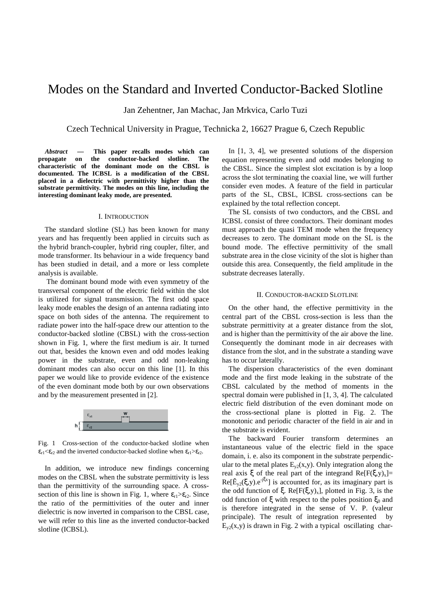# Modes on the Standard and Inverted Conductor-Backed Slotline

Jan Zehentner, Jan Machac, Jan Mrkvica, Carlo Tuzi

Czech Technical University in Prague, Technicka 2, 16627 Prague 6, Czech Republic

*Abstract* **— This paper recalls modes which can propagate on the conductor-backed slotline. The characteristic of the dominant mode on the CBSL is documented. The ICBSL is a modification of the CBSL placed in a dielectric with permittivity higher than the substrate permittivity. The modes on this line, including the interesting dominant leaky mode, are presented.**

#### I. INTRODUCTION

The standard slotline (SL) has been known for many years and has frequently been applied in circuits such as the hybrid branch-coupler, hybrid ring coupler, filter, and mode transformer. Its behaviour in a wide frequency band has been studied in detail, and a more or less complete analysis is available.

 The dominant bound mode with even symmetry of the transversal component of the electric field within the slot is utilized for signal transmission. The first odd space leaky mode enables the design of an antenna radiating into space on both sides of the antenna. The requirement to radiate power into the half-space drew our attention to the conductor-backed slotline (CBSL) with the cross-section shown in Fig. 1, where the first medium is air. It turned out that, besides the known even and odd modes leaking power in the substrate, even and odd non-leaking dominant modes can also occur on this line [1]. In this paper we would like to provide evidence of the existence of the even dominant mode both by our own observations and by the measurement presented in [2].



Fig. 1 Cross-section of the conductor-backed slotline when  $\epsilon_{r1} \ll \epsilon_{r2}$  and the inverted conductor-backed slotline when  $\epsilon_{r1} > \epsilon_{r2}$ .

In addition, we introduce new findings concerning modes on the CBSL when the substrate permittivity is less than the permittivity of the surrounding space. A crosssection of this line is shown in Fig. 1, where  $\varepsilon_{r1} > \varepsilon_{r2}$ . Since the ratio of the permittivities of the outer and inner dielectric is now inverted in comparison to the CBSL case, we will refer to this line as the inverted conductor-backed slotline (ICBSL).

In [1, 3, 4], we presented solutions of the dispersion equation representing even and odd modes belonging to the CBSL. Since the simplest slot excitation is by a loop across the slot terminating the coaxial line, we will further consider even modes. A feature of the field in particular parts of the SL, CBSL, ICBSL cross-sections can be explained by the total reflection concept.

The SL consists of two conductors, and the CBSL and ICBSL consist of three conductors. Their dominant modes must approach the quasi TEM mode when the frequency decreases to zero. The dominant mode on the SL is the bound mode. The effective permittivity of the small substrate area in the close vicinity of the slot is higher than outside this area. Consequently, the field amplitude in the substrate decreases laterally.

#### II. CONDUCTOR-BACKED SLOTLINE

On the other hand, the effective permittivity in the central part of the CBSL cross-section is less than the substrate permittivity at a greater distance from the slot, and is higher than the permittivity of the air above the line. Consequently the dominant mode in air decreases with distance from the slot, and in the substrate a standing wave has to occur laterally.

The dispersion characteristics of the even dominant mode and the first mode leaking in the substrate of the CBSL calculated by the method of moments in the spectral domain were published in [1, 3, 4]. The calculated electric field distribution of the even dominant mode on the cross-sectional plane is plotted in Fig. 2. The monotonic and periodic character of the field in air and in the substrate is evident.

The backward Fourier transform determines an instantaneous value of the electric field in the space domain, i. e. also its component in the substrate perpendicular to the metal plates  $E_{v2}(x,y)$ . Only integration along the real axis  $\xi$  of the real part of the integrand Re[F( $\xi$ ,y)<sub>x</sub>]= Re[ $\tilde{E}_{y2}(\xi, y)$ .e<sup>-jξx</sup>] is accounted for, as its imaginary part is the odd function of  $\xi$ . Re[F( $\xi$ ,y)<sub>x</sub>], plotted in Fig. 3, is the odd function of ξ with respect to the poles position  $ξ_0$  and is therefore integrated in the sense of V. P. (valeur principale). The result of integration represented by  $E_{v2}(x,y)$  is drawn in Fig. 2 with a typical oscillating char-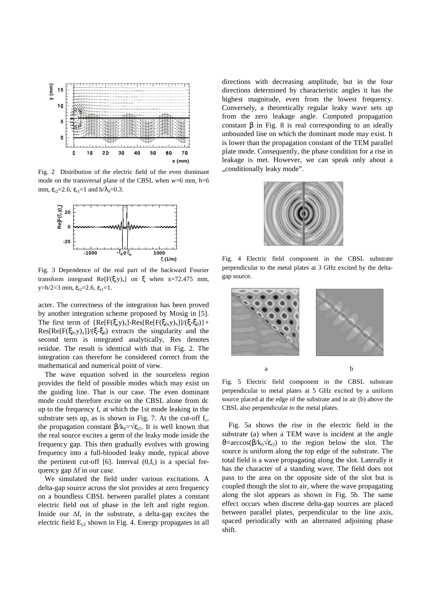

Fig. 2 Distribution of the electric field of the even dominant mode on the transversal plane of the CBSL when w=6 mm, h=6 mm,  $\varepsilon_{r2} = 2.6$ ,  $\varepsilon_{r1} = 1$  and  $h/\lambda_0 = 0.3$ .



Fig. 3 Dependence of the real part of the backward Fourier transform integrand  $Re[F(\xi, y)_x]$  on  $\xi$  when x=72.475 mm,  $y=h/2=3$  mm,  $\varepsilon_{r2}=2.6$ ,  $\varepsilon_{r1}=1$ .

acter. The correctness of the integration has been proved by another integration scheme proposed by Mosig in [5]. The first term of  ${Re[F(\xi,y)_x] - Res[Re[F(\xi_0,y)_x]]/(\xi-\xi_0)}$ +  $Res[Re[F(\xi_0,y)_x]]/(\xi-\xi_0)$  extracts the singularity and the second term is integrated analytically, Res denotes residue. The result is identical with that in Fig. 2. The integration can therefore be considered correct from the mathematical and numerical point of view.

The wave equation solved in the sourceless region provides the field of possible modes which may exist on the guiding line. That is our case. The even dominant mode could therefore excite on the CBSL alone from dc up to the frequency  $f_c$  at which the 1st mode leaking in the substrate sets up, as is shown in Fig. 7. At the cut-off  $f_c$ , the propagation constant  $\beta/k_0 = \sqrt{\epsilon_{r2}}$ . It is well known that the real source excites a germ of the leaky mode inside the frequency gap. This then gradually evolves with growing frequency into a full-blooded leaky mode, typical above the pertinent cut-off [6]. Interval  $(0,f_c)$  is a special frequency gap  $\Delta f$  in our case.

We simulated the field under various excitations. A delta-gap source across the slot provides at zero frequency on a boundless CBSL between parallel plates a constant electric field out of phase in the left and right region. Inside our  $\Delta f$ , in the substrate, a delta-gap excites the electric field  $E_{v2}$  shown in Fig. 4. Energy propagates in all

directions with decreasing amplitude, but in the four directions determined by characteristic angles it has the highest magnitude, even from the lowest frequency. Conversely, a theoretically regular leaky wave sets up from the zero leakage angle. Computed propagation constant β in Fig. 8 is real corresponding to an ideally unbounded line on which the dominant mode may exist. It is lower than the propagation constant of the TEM parallel plate mode. Consequently, the phase condition for a rise in leakage is met. However, we can speak only about a "conditionally leaky mode".



Fig. 4 Electric field component in the CBSL substrate perpendicular to the metal plates at 3 GHz excited by the deltagap source.



Fig. 5 Electric field component in the CBSL substrate perpendicular to metal plates at 5 GHz excited by a uniform source placed at the edge of the substrate and in air (b) above the CBSL also perpendicular to the metal plates.

Fig. 5a shows the rise in the electric field in the substrate (a) when a TEM wave is incident at the angle  $\theta$ =arccos( $\beta$ /k<sub>0</sub> $\sqrt{\epsilon_{r2}}$ ) to the region below the slot. The source is uniform along the top edge of the substrate. The total field is a wave propagating along the slot. Laterally it has the character of a standing wave. The field does not pass to the area on the opposite side of the slot but is coupled though the slot to air, where the wave propagating along the slot appears as shown in Fig. 5b. The same effect occurs when discrete delta-gap sources are placed between parallel plates, perpendicular to the line axis, spaced periodically with an alternated adjoining phase shift.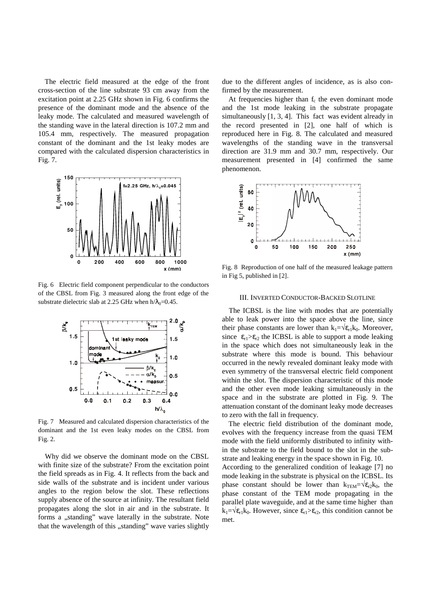The electric field measured at the edge of the front cross-section of the line substrate 93 cm away from the excitation point at 2.25 GHz shown in Fig. 6 confirms the presence of the dominant mode and the absence of the leaky mode. The calculated and measured wavelength of the standing wave in the lateral direction is 107.2 mm and 105.4 mm, respectively. The measured propagation constant of the dominant and the 1st leaky modes are compared with the calculated dispersion characteristics in Fig. 7.



Fig. 6 Electric field component perpendicular to the conductors of the CBSL from Fig. 3 measured along the front edge of the substrate dielectric slab at 2.25 GHz when  $h/\lambda_0=0.45$ .



Fig. 7 Measured and calculated dispersion characteristics of the dominant and the 1st even leaky modes on the CBSL from Fig. 2.

Why did we observe the dominant mode on the CBSL with finite size of the substrate? From the excitation point the field spreads as in Fig. 4. It reflects from the back and side walls of the substrate and is incident under various angles to the region below the slot. These reflections supply absence of the source at infinity. The resultant field propagates along the slot in air and in the substrate. It forms a "standing" wave laterally in the substrate. Note that the wavelength of this "standing" wave varies slightly

due to the different angles of incidence, as is also confirmed by the measurement.

At frequencies higher than  $f_c$  the even dominant mode and the 1st mode leaking in the substrate propagate simultaneously [1, 3, 4]. This fact was evident already in the record presented in [2], one half of which is reproduced here in Fig. 8. The calculated and measured wavelengths of the standing wave in the transversal direction are 31.9 mm and 30.7 mm, respectively. Our measurement presented in [4] confirmed the same phenomenon.



Fig. 8 Reproduction of one half of the measured leakage pattern in Fig 5, published in [2].

## III. INVERTED CONDUCTOR-BACKED SLOTLINE

The ICBSL is the line with modes that are potentially able to leak power into the space above the line, since their phase constants are lower than  $k_1 = \sqrt{\epsilon_{r1}}k_0$ . Moreover, since  $\epsilon_{r1} > \epsilon_{r2}$  the ICBSL is able to support a mode leaking in the space which does not simultaneously leak in the substrate where this mode is bound. This behaviour occurred in the newly revealed dominant leaky mode with even symmetry of the transversal electric field component within the slot. The dispersion characteristic of this mode and the other even mode leaking simultaneously in the space and in the substrate are plotted in Fig. 9. The attenuation constant of the dominant leaky mode decreases to zero with the fall in frequency.

The electric field distribution of the dominant mode, evolves with the frequency increase from the quasi TEM mode with the field uniformly distributed to infinity within the substrate to the field bound to the slot in the substrate and leaking energy in the space shown in Fig. 10.

According to the generalized condition of leakage [7] no mode leaking in the substrate is physical on the ICBSL. Its phase constant should be lower than  $k_{TEM} = \sqrt{\epsilon_{r2}}k_0$ , the phase constant of the TEM mode propagating in the parallel plate waveguide, and at the same time higher than  $k_1 = \sqrt{\epsilon_{r1}}k_0$ . However, since  $\epsilon_{r1} > \epsilon_{r2}$ , this condition cannot be met.